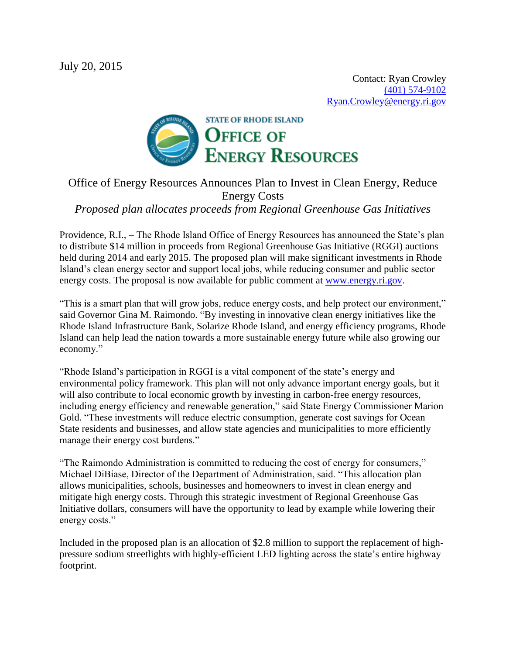

## Office of Energy Resources Announces Plan to Invest in Clean Energy, Reduce Energy Costs *Proposed plan allocates proceeds from Regional Greenhouse Gas Initiatives*

Providence, R.I., – The Rhode Island Office of Energy Resources has announced the State's plan to distribute \$14 million in proceeds from Regional Greenhouse Gas Initiative (RGGI) auctions held during 2014 and early 2015. The proposed plan will make significant investments in Rhode Island's clean energy sector and support local jobs, while reducing consumer and public sector energy costs. The proposal is now available for public comment at [www.energy.ri.gov.](http://www.energy.ri.gov/)

"This is a smart plan that will grow jobs, reduce energy costs, and help protect our environment," said Governor Gina M. Raimondo. "By investing in innovative clean energy initiatives like the Rhode Island Infrastructure Bank, Solarize Rhode Island, and energy efficiency programs, Rhode Island can help lead the nation towards a more sustainable energy future while also growing our economy."

"Rhode Island's participation in RGGI is a vital component of the state's energy and environmental policy framework. This plan will not only advance important energy goals, but it will also contribute to local economic growth by investing in carbon-free energy resources, including energy efficiency and renewable generation," said State Energy Commissioner Marion Gold. "These investments will reduce electric consumption, generate cost savings for Ocean State residents and businesses, and allow state agencies and municipalities to more efficiently manage their energy cost burdens."

"The Raimondo Administration is committed to reducing the cost of energy for consumers," Michael DiBiase, Director of the Department of Administration, said. "This allocation plan allows municipalities, schools, businesses and homeowners to invest in clean energy and mitigate high energy costs. Through this strategic investment of Regional Greenhouse Gas Initiative dollars, consumers will have the opportunity to lead by example while lowering their energy costs."

Included in the proposed plan is an allocation of \$2.8 million to support the replacement of highpressure sodium streetlights with highly-efficient LED lighting across the state's entire highway footprint.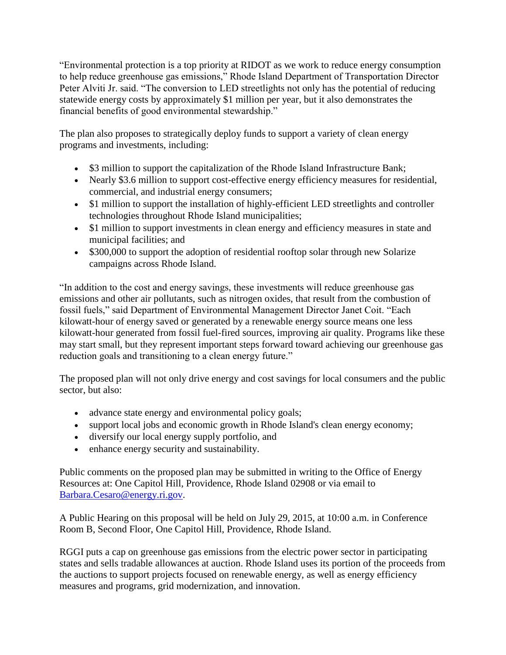"Environmental protection is a top priority at RIDOT as we work to reduce energy consumption to help reduce greenhouse gas emissions," Rhode Island Department of Transportation Director Peter Alviti Jr. said. "The conversion to LED streetlights not only has the potential of reducing statewide energy costs by approximately \$1 million per year, but it also demonstrates the financial benefits of good environmental stewardship."

The plan also proposes to strategically deploy funds to support a variety of clean energy programs and investments, including:

- \$3 million to support the capitalization of the Rhode Island Infrastructure Bank;
- Nearly \$3.6 million to support cost-effective energy efficiency measures for residential, commercial, and industrial energy consumers;
- \$1 million to support the installation of highly-efficient LED streetlights and controller technologies throughout Rhode Island municipalities;
- \$1 million to support investments in clean energy and efficiency measures in state and municipal facilities; and
- \$300,000 to support the adoption of residential rooftop solar through new Solarize campaigns across Rhode Island.

"In addition to the cost and energy savings, these investments will reduce greenhouse gas emissions and other air pollutants, such as nitrogen oxides, that result from the combustion of fossil fuels," said Department of Environmental Management Director Janet Coit. "Each kilowatt-hour of energy saved or generated by a renewable energy source means one less kilowatt-hour generated from fossil fuel-fired sources, improving air quality. Programs like these may start small, but they represent important steps forward toward achieving our greenhouse gas reduction goals and transitioning to a clean energy future."

The proposed plan will not only drive energy and cost savings for local consumers and the public sector, but also:

- advance state energy and environmental policy goals;
- support local jobs and economic growth in Rhode Island's clean energy economy;
- diversify our local energy supply portfolio, and
- enhance energy security and sustainability.

Public comments on the proposed plan may be submitted in writing to the Office of Energy Resources at: One Capitol Hill, Providence, Rhode Island 02908 or via email to [Barbara.Cesaro@energy.ri.gov.](mailto:Barbara.Cesaro@energy.ri.gov)

A Public Hearing on this proposal will be held on July 29, 2015, at 10:00 a.m. in Conference Room B, Second Floor, One Capitol Hill, Providence, Rhode Island.

RGGI puts a cap on greenhouse gas emissions from the electric power sector in participating states and sells tradable allowances at auction. Rhode Island uses its portion of the proceeds from the auctions to support projects focused on renewable energy, as well as energy efficiency measures and programs, grid modernization, and innovation.